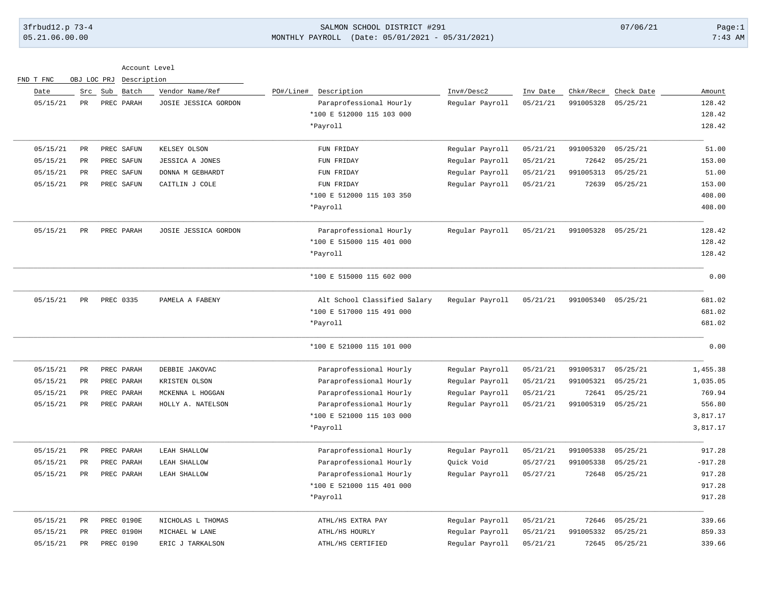FND T FNC OBJ LOC PRJ Description

### 3frbud12.p 73-4 SALMON SCHOOL DISTRICT #291 07/06/21 Page:1 05.21.06.00.00 MONTHLY PAYROLL (Date: 05/01/2021 - 05/31/2021) 7:43 AM

Account Level

| Date     | Src             | Sub<br>Batch | Vendor Name/Ref      | PO#/Line#<br>Description     | Inv#/Desc2      | Inv Date | Chk#/Rec#          | Check Date | Amount    |
|----------|-----------------|--------------|----------------------|------------------------------|-----------------|----------|--------------------|------------|-----------|
| 05/15/21 | PR              | PREC PARAH   | JOSIE JESSICA GORDON | Paraprofessional Hourly      | Regular Payroll | 05/21/21 | 991005328          | 05/25/21   | 128.42    |
|          |                 |              |                      | *100 E 512000 115 103 000    |                 |          |                    |            | 128.42    |
|          |                 |              |                      | *Payroll                     |                 |          |                    |            | 128.42    |
| 05/15/21 | PR              | PREC SAFUN   | KELSEY OLSON         | FUN FRIDAY                   | Regular Payroll | 05/21/21 | 991005320          | 05/25/21   | 51.00     |
| 05/15/21 | $\mbox{\sf PR}$ | PREC SAFUN   | JESSICA A JONES      | FUN FRIDAY                   | Regular Payroll | 05/21/21 | 72642              | 05/25/21   | 153.00    |
| 05/15/21 | PR              | PREC SAFUN   | DONNA M GEBHARDT     | FUN FRIDAY                   | Regular Payroll | 05/21/21 | 991005313          | 05/25/21   | 51.00     |
| 05/15/21 | $_{\rm PR}$     | PREC SAFUN   | CAITLIN J COLE       | FUN FRIDAY                   | Regular Payroll | 05/21/21 | 72639              | 05/25/21   | 153.00    |
|          |                 |              |                      | *100 E 512000 115 103 350    |                 |          |                    |            | 408.00    |
|          |                 |              |                      | *Payroll                     |                 |          |                    |            | 408.00    |
| 05/15/21 | PR              | PREC PARAH   | JOSIE JESSICA GORDON | Paraprofessional Hourly      | Regular Payroll | 05/21/21 | 991005328 05/25/21 |            | 128.42    |
|          |                 |              |                      | *100 E 515000 115 401 000    |                 |          |                    |            | 128.42    |
|          |                 |              |                      | *Payroll                     |                 |          |                    |            | 128.42    |
|          |                 |              |                      | *100 E 515000 115 602 000    |                 |          |                    |            | 0.00      |
| 05/15/21 | PR              | PREC 0335    | PAMELA A FABENY      | Alt School Classified Salary | Regular Payroll | 05/21/21 | 991005340 05/25/21 |            | 681.02    |
|          |                 |              |                      | *100 E 517000 115 491 000    |                 |          |                    |            | 681.02    |
|          |                 |              |                      | *Payroll                     |                 |          |                    |            | 681.02    |
|          |                 |              |                      | *100 E 521000 115 101 000    |                 |          |                    |            | 0.00      |
| 05/15/21 | PR              | PREC PARAH   | DEBBIE JAKOVAC       | Paraprofessional Hourly      | Regular Payroll | 05/21/21 | 991005317          | 05/25/21   | 1,455.38  |
| 05/15/21 | PR              | PREC PARAH   | KRISTEN OLSON        | Paraprofessional Hourly      | Regular Payroll | 05/21/21 | 991005321          | 05/25/21   | 1,035.05  |
| 05/15/21 | $_{\rm PR}$     | PREC PARAH   | MCKENNA L HOGGAN     | Paraprofessional Hourly      | Regular Payroll | 05/21/21 | 72641              | 05/25/21   | 769.94    |
| 05/15/21 | PR              | PREC PARAH   | HOLLY A. NATELSON    | Paraprofessional Hourly      | Regular Payroll | 05/21/21 | 991005319          | 05/25/21   | 556.80    |
|          |                 |              |                      | *100 E 521000 115 103 000    |                 |          |                    |            | 3,817.17  |
|          |                 |              |                      | *Payroll                     |                 |          |                    |            | 3,817.17  |
| 05/15/21 | $_{\rm PR}$     | PREC PARAH   | LEAH SHALLOW         | Paraprofessional Hourly      | Regular Payroll | 05/21/21 | 991005338          | 05/25/21   | 917.28    |
| 05/15/21 | $_{\rm PR}$     | PREC PARAH   | LEAH SHALLOW         | Paraprofessional Hourly      | Quick Void      | 05/27/21 | 991005338          | 05/25/21   | $-917.28$ |
| 05/15/21 | PR              | PREC PARAH   | LEAH SHALLOW         | Paraprofessional Hourly      | Regular Payroll | 05/27/21 | 72648              | 05/25/21   | 917.28    |
|          |                 |              |                      | *100 E 521000 115 401 000    |                 |          |                    |            | 917.28    |
|          |                 |              |                      | *Payroll                     |                 |          |                    |            | 917.28    |
| 05/15/21 | PR              | PREC 0190E   | NICHOLAS L THOMAS    | ATHL/HS EXTRA PAY            | Regular Payroll | 05/21/21 | 72646              | 05/25/21   | 339.66    |
| 05/15/21 | PR              | PREC 0190H   | MICHAEL W LANE       | ATHL/HS HOURLY               | Regular Payroll | 05/21/21 | 991005332          | 05/25/21   | 859.33    |
| 05/15/21 | PR              | PREC 0190    | ERIC J TARKALSON     | ATHL/HS CERTIFIED            | Regular Payroll | 05/21/21 | 72645              | 05/25/21   | 339.66    |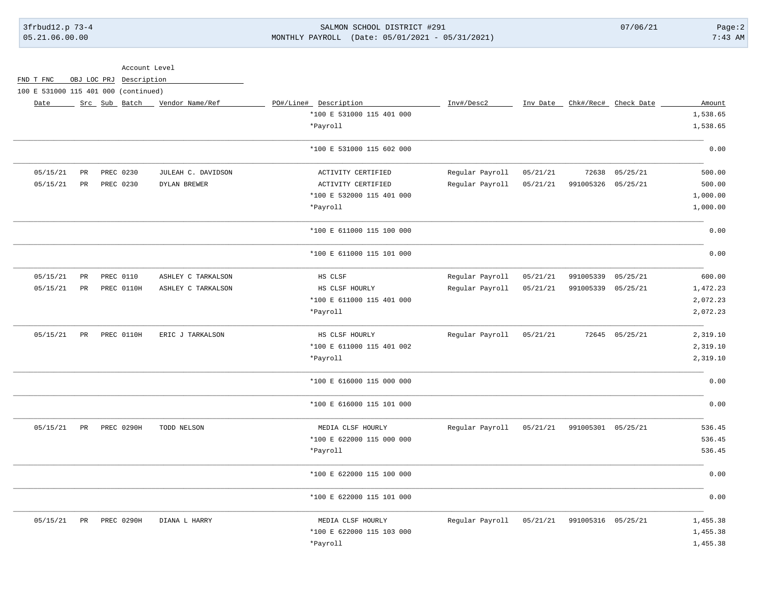3frbud12.p 73-4 SALMON SCHOOL DISTRICT #291 07/06/21 Page:2 05.21.06.00.00 MONTHLY PAYROLL (Date: 05/01/2021 - 05/31/2021) 7:43 AM

|                                      | Account Level |  |                         |                                 |                           |                 |          |                    |                                   |          |
|--------------------------------------|---------------|--|-------------------------|---------------------------------|---------------------------|-----------------|----------|--------------------|-----------------------------------|----------|
| FND T FNC                            |               |  | OBJ LOC PRJ Description |                                 |                           |                 |          |                    |                                   |          |
| 100 E 531000 115 401 000 (continued) |               |  |                         |                                 |                           |                 |          |                    |                                   |          |
| Date                                 |               |  |                         | Src Sub Batch _ Vendor Name/Ref | PO#/Line# Description     | Inv#/Desc2      |          |                    | Inv Date _ Chk#/Rec# _ Check Date | Amount   |
|                                      |               |  |                         |                                 | *100 E 531000 115 401 000 |                 |          |                    |                                   | 1,538.65 |
|                                      |               |  |                         |                                 | *Payroll                  |                 |          |                    |                                   | 1,538.65 |
|                                      |               |  |                         |                                 | *100 E 531000 115 602 000 |                 |          |                    |                                   | 0.00     |
| 05/15/21                             | PR            |  | PREC 0230               | JULEAH C. DAVIDSON              | ACTIVITY CERTIFIED        | Regular Payroll | 05/21/21 |                    | 72638 05/25/21                    | 500.00   |
| 05/15/21                             | PR            |  | PREC 0230               | DYLAN BREWER                    | ACTIVITY CERTIFIED        | Regular Payroll | 05/21/21 | 991005326 05/25/21 |                                   | 500.00   |
|                                      |               |  |                         |                                 | *100 E 532000 115 401 000 |                 |          |                    |                                   | 1,000.00 |
|                                      |               |  |                         |                                 | *Payroll                  |                 |          |                    |                                   | 1,000.00 |
|                                      |               |  |                         |                                 | *100 E 611000 115 100 000 |                 |          |                    |                                   | 0.00     |
|                                      |               |  |                         |                                 | *100 E 611000 115 101 000 |                 |          |                    |                                   | 0.00     |
| 05/15/21                             | $_{\rm PR}$   |  | PREC 0110               | ASHLEY C TARKALSON              | HS CLSF                   | Regular Payroll | 05/21/21 | 991005339 05/25/21 |                                   | 600.00   |
| 05/15/21                             | PR            |  | PREC 0110H              | ASHLEY C TARKALSON              | HS CLSF HOURLY            | Regular Payroll | 05/21/21 | 991005339 05/25/21 |                                   | 1,472.23 |
|                                      |               |  |                         |                                 | *100 E 611000 115 401 000 |                 |          |                    |                                   | 2,072.23 |
|                                      |               |  |                         |                                 | *Payroll                  |                 |          |                    |                                   | 2,072.23 |
| 05/15/21                             | PR            |  | PREC 0110H              | ERIC J TARKALSON                | HS CLSF HOURLY            | Regular Payroll | 05/21/21 |                    | 72645 05/25/21                    | 2,319.10 |
|                                      |               |  |                         |                                 | *100 E 611000 115 401 002 |                 |          |                    |                                   | 2,319.10 |
|                                      |               |  |                         |                                 | *Payroll                  |                 |          |                    |                                   | 2,319.10 |
|                                      |               |  |                         |                                 | *100 E 616000 115 000 000 |                 |          |                    |                                   | 0.00     |
|                                      |               |  |                         |                                 | *100 E 616000 115 101 000 |                 |          |                    |                                   | 0.00     |
| 05/15/21                             | PR            |  | PREC 0290H              | TODD NELSON                     | MEDIA CLSF HOURLY         | Regular Payroll | 05/21/21 | 991005301 05/25/21 |                                   | 536.45   |
|                                      |               |  |                         |                                 | *100 E 622000 115 000 000 |                 |          |                    |                                   | 536.45   |
|                                      |               |  |                         |                                 | *Payroll                  |                 |          |                    |                                   | 536.45   |
|                                      |               |  |                         |                                 | *100 E 622000 115 100 000 |                 |          |                    |                                   | 0.00     |
|                                      |               |  |                         |                                 | *100 E 622000 115 101 000 |                 |          |                    |                                   | 0.00     |
| 05/15/21                             | PR            |  | <b>PREC 0290H</b>       | DIANA L HARRY                   | MEDIA CLSF HOURLY         | Regular Payroll | 05/21/21 | 991005316 05/25/21 |                                   | 1,455.38 |
|                                      |               |  |                         |                                 | *100 E 622000 115 103 000 |                 |          |                    |                                   | 1,455.38 |
|                                      |               |  |                         |                                 | *Payroll                  |                 |          |                    |                                   | 1,455.38 |
|                                      |               |  |                         |                                 |                           |                 |          |                    |                                   |          |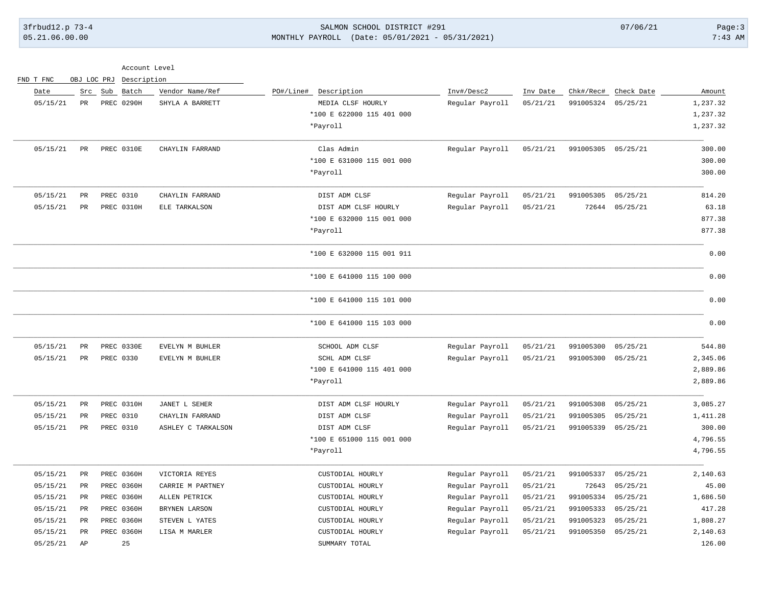# 3frbud12.p 73-4 SALMON SCHOOL DISTRICT #291 07/06/21 Page:3 05.21.06.00.00 MONTHLY PAYROLL (Date: 05/01/2021 - 05/31/2021) 7:43 AM

| Account Level |  |
|---------------|--|
|               |  |

| FND T FNC | OBJ LOC PRJ | Description       |                    |                           |                 |          |           |            |          |
|-----------|-------------|-------------------|--------------------|---------------------------|-----------------|----------|-----------|------------|----------|
| Date      |             | Batch<br>Src Sub  | Vendor Name/Ref    | PO#/Line#<br>Description  | Inv#/Desc2      | Inv Date | Chk#/Rec# | Check Date | Amount   |
| 05/15/21  | $_{\rm PR}$ | PREC 0290H        | SHYLA A BARRETT    | MEDIA CLSF HOURLY         | Regular Payroll | 05/21/21 | 991005324 | 05/25/21   | 1,237.32 |
|           |             |                   |                    | *100 E 622000 115 401 000 |                 |          |           |            | 1,237.32 |
|           |             |                   |                    | *Payroll                  |                 |          |           |            | 1,237.32 |
| 05/15/21  | $_{\rm PR}$ | PREC 0310E        | CHAYLIN FARRAND    | Clas Admin                | Regular Payroll | 05/21/21 | 991005305 | 05/25/21   | 300.00   |
|           |             |                   |                    | *100 E 631000 115 001 000 |                 |          |           |            | 300.00   |
|           |             |                   |                    | *Payroll                  |                 |          |           |            | 300.00   |
| 05/15/21  | PR          | PREC 0310         | CHAYLIN FARRAND    | DIST ADM CLSF             | Regular Payroll | 05/21/21 | 991005305 | 05/25/21   | 814.20   |
| 05/15/21  | $_{\rm PR}$ | <b>PREC 0310H</b> | ELE TARKALSON      | DIST ADM CLSF HOURLY      | Regular Payroll | 05/21/21 | 72644     | 05/25/21   | 63.18    |
|           |             |                   |                    | *100 E 632000 115 001 000 |                 |          |           |            | 877.38   |
|           |             |                   |                    | *Payroll                  |                 |          |           |            | 877.38   |
|           |             |                   |                    | *100 E 632000 115 001 911 |                 |          |           |            | 0.00     |
|           |             |                   |                    | *100 E 641000 115 100 000 |                 |          |           |            | 0.00     |
|           |             |                   |                    | *100 E 641000 115 101 000 |                 |          |           |            | 0.00     |
|           |             |                   |                    | *100 E 641000 115 103 000 |                 |          |           |            | 0.00     |
| 05/15/21  | $_{\rm PR}$ | PREC 0330E        | EVELYN M BUHLER    | SCHOOL ADM CLSF           | Regular Payroll | 05/21/21 | 991005300 | 05/25/21   | 544.80   |
| 05/15/21  | $_{\rm PR}$ | PREC 0330         | EVELYN M BUHLER    | SCHL ADM CLSF             | Regular Payroll | 05/21/21 | 991005300 | 05/25/21   | 2,345.06 |
|           |             |                   |                    | *100 E 641000 115 401 000 |                 |          |           |            | 2,889.86 |
|           |             |                   |                    | *Payroll                  |                 |          |           |            | 2,889.86 |
| 05/15/21  | $_{\rm PR}$ | PREC 0310H        | JANET L SEHER      | DIST ADM CLSF HOURLY      | Regular Payroll | 05/21/21 | 991005308 | 05/25/21   | 3,085.27 |
| 05/15/21  | PR          | PREC 0310         | CHAYLIN FARRAND    | DIST ADM CLSF             | Regular Payroll | 05/21/21 | 991005305 | 05/25/21   | 1,411.28 |
| 05/15/21  | $_{\rm PR}$ | PREC 0310         | ASHLEY C TARKALSON | DIST ADM CLSF             | Regular Payroll | 05/21/21 | 991005339 | 05/25/21   | 300.00   |
|           |             |                   |                    | *100 E 651000 115 001 000 |                 |          |           |            | 4,796.55 |
|           |             |                   |                    | *Payroll                  |                 |          |           |            | 4,796.55 |
| 05/15/21  | PR          | <b>PREC 0360H</b> | VICTORIA REYES     | CUSTODIAL HOURLY          | Regular Payroll | 05/21/21 | 991005337 | 05/25/21   | 2,140.63 |
| 05/15/21  | PR          | PREC 0360H        | CARRIE M PARTNEY   | CUSTODIAL HOURLY          | Regular Payroll | 05/21/21 | 72643     | 05/25/21   | 45.00    |
| 05/15/21  | PR          | <b>PREC 0360H</b> | ALLEN PETRICK      | CUSTODIAL HOURLY          | Regular Payroll | 05/21/21 | 991005334 | 05/25/21   | 1,686.50 |
| 05/15/21  | PR          | <b>PREC 0360H</b> | BRYNEN LARSON      | CUSTODIAL HOURLY          | Regular Payroll | 05/21/21 | 991005333 | 05/25/21   | 417.28   |
| 05/15/21  | $_{\rm PR}$ | PREC 0360H        | STEVEN L YATES     | CUSTODIAL HOURLY          | Regular Payroll | 05/21/21 | 991005323 | 05/25/21   | 1,808.27 |
| 05/15/21  | PR          | <b>PREC 0360H</b> | LISA M MARLER      | CUSTODIAL HOURLY          | Regular Payroll | 05/21/21 | 991005350 | 05/25/21   | 2,140.63 |
| 05/25/21  | AP          | 25                |                    | SUMMARY TOTAL             |                 |          |           |            | 126.00   |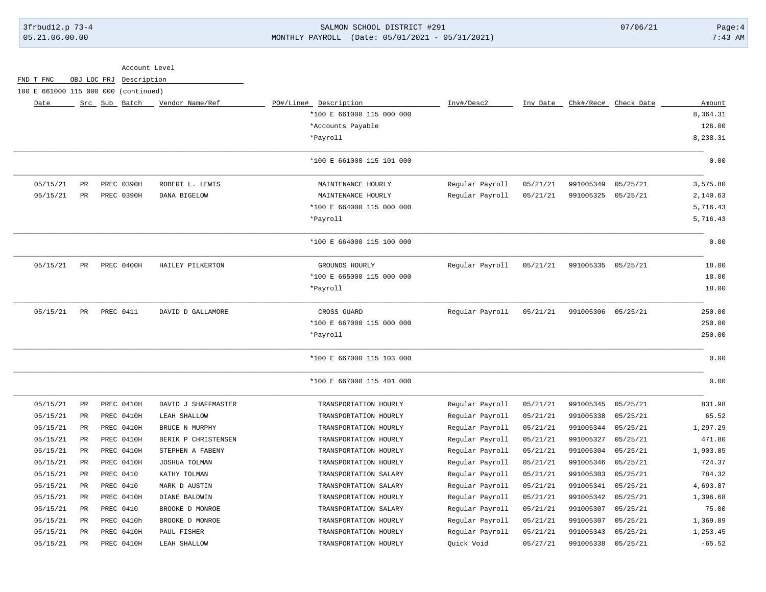# 3frbud12.p 73-4 SALMON SCHOOL DISTRICT #291 07/06/21 Page:4 05.21.06.00.00 MONTHLY PAYROLL (Date: 05/01/2021 - 05/31/2021) 7:43 AM

|                                      |                 |         | Account Level |                     |                             |                 |          |                    |            |          |
|--------------------------------------|-----------------|---------|---------------|---------------------|-----------------------------|-----------------|----------|--------------------|------------|----------|
| FND T FNC                            | OBJ LOC PRJ     |         | Description   |                     |                             |                 |          |                    |            |          |
| 100 E 661000 115 000 000 (continued) |                 |         |               |                     |                             |                 |          |                    |            |          |
| Date                                 |                 | Src Sub | Batch         | Vendor Name/Ref     | PO#/Line# Description       | Inv#/Desc2      | Inv Date | Chk#/Rec#          | Check Date | Amount   |
|                                      |                 |         |               |                     | *100 E 661000 115 000 000   |                 |          |                    |            | 8,364.31 |
|                                      |                 |         |               |                     | *Accounts Payable           |                 |          |                    |            | 126.00   |
|                                      |                 |         |               |                     | *Payroll                    |                 |          |                    |            | 8,238.31 |
|                                      |                 |         |               |                     | *100 E 661000 115 101 000   |                 |          |                    |            | 0.00     |
| 05/15/21                             | PR              |         | PREC 0390H    | ROBERT L. LEWIS     | MAINTENANCE HOURLY          | Regular Payroll | 05/21/21 | 991005349          | 05/25/21   | 3,575.80 |
| 05/15/21                             | PR              |         | PREC 0390H    | DANA BIGELOW        | MAINTENANCE HOURLY          | Regular Payroll | 05/21/21 | 991005325          | 05/25/21   | 2,140.63 |
|                                      |                 |         |               |                     | *100 E 664000 115 000 000   |                 |          |                    |            | 5,716.43 |
|                                      |                 |         |               |                     | *Payroll                    |                 |          |                    |            | 5,716.43 |
|                                      |                 |         |               |                     | *100 E 664000 115 100 000   |                 |          |                    |            | 0.00     |
| 05/15/21                             | $_{\rm PR}$     |         | PREC 0400H    | HAILEY PILKERTON    | GROUNDS HOURLY              | Regular Payroll | 05/21/21 | 991005335          | 05/25/21   | 18.00    |
|                                      |                 |         |               |                     | *100 E 665000 115 000 000   |                 |          |                    |            | 18.00    |
|                                      |                 |         |               |                     | *Payroll                    |                 |          |                    |            | 18.00    |
| 05/15/21                             | PR              |         | PREC 0411     | DAVID D GALLAMORE   | CROSS GUARD                 | Regular Payroll | 05/21/21 | 991005306 05/25/21 |            | 250.00   |
|                                      |                 |         |               |                     | $*100$ E 667000 115 000 000 |                 |          |                    |            | 250.00   |
|                                      |                 |         |               |                     | *Payroll                    |                 |          |                    |            | 250.00   |
|                                      |                 |         |               |                     | *100 E 667000 115 103 000   |                 |          |                    |            | 0.00     |
|                                      |                 |         |               |                     | *100 E 667000 115 401 000   |                 |          |                    |            | 0.00     |
| 05/15/21                             | PR              |         | PREC 0410H    | DAVID J SHAFFMASTER | TRANSPORTATION HOURLY       | Regular Payroll | 05/21/21 | 991005345          | 05/25/21   | 831.98   |
| 05/15/21                             | $_{\rm PR}$     |         | PREC 0410H    | LEAH SHALLOW        | TRANSPORTATION HOURLY       | Regular Payroll | 05/21/21 | 991005338          | 05/25/21   | 65.52    |
| 05/15/21                             | $_{\rm PR}$     |         | PREC 0410H    | BRUCE N MURPHY      | TRANSPORTATION HOURLY       | Regular Payroll | 05/21/21 | 991005344          | 05/25/21   | 1,297.29 |
| 05/15/21                             | $_{\rm PR}$     |         | PREC 0410H    | BERIK P CHRISTENSEN | TRANSPORTATION HOURLY       | Regular Payroll | 05/21/21 | 991005327          | 05/25/21   | 471.80   |
| 05/15/21                             | PR              |         | PREC 0410H    | STEPHEN A FABENY    | TRANSPORTATION HOURLY       | Regular Payroll | 05/21/21 | 991005304          | 05/25/21   | 1,903.85 |
| 05/15/21                             | PR              |         | PREC 0410H    | JOSHUA TOLMAN       | TRANSPORTATION HOURLY       | Regular Payroll | 05/21/21 | 991005346          | 05/25/21   | 724.37   |
| 05/15/21                             | PR              |         | PREC 0410     | KATHY TOLMAN        | TRANSPORTATION SALARY       | Regular Payroll | 05/21/21 | 991005303          | 05/25/21   | 784.32   |
| 05/15/21                             | PR              |         | PREC 0410     | MARK D AUSTIN       | TRANSPORTATION SALARY       | Regular Payroll | 05/21/21 | 991005341          | 05/25/21   | 4,693.87 |
| 05/15/21                             | $\mbox{\sf PR}$ |         | PREC 0410H    | DIANE BALDWIN       | TRANSPORTATION HOURLY       | Regular Payroll | 05/21/21 | 991005342          | 05/25/21   | 1,396.68 |
| 05/15/21                             | PR              |         | PREC 0410     | BROOKE D MONROE     | TRANSPORTATION SALARY       | Regular Payroll | 05/21/21 | 991005307          | 05/25/21   | 75.00    |
| 05/15/21                             | PR              |         | PREC 0410h    | BROOKE D MONROE     | TRANSPORTATION HOURLY       | Regular Payroll | 05/21/21 | 991005307          | 05/25/21   | 1,369.89 |
| 05/15/21                             | $_{\rm PR}$     |         | PREC 0410H    | PAUL FISHER         | TRANSPORTATION HOURLY       | Regular Payroll | 05/21/21 | 991005343          | 05/25/21   | 1,253.45 |
| 05/15/21                             | $\mathtt{PR}$   |         | PREC 0410H    | LEAH SHALLOW        | TRANSPORTATION HOURLY       | Quick Void      | 05/27/21 | 991005338          | 05/25/21   | $-65.52$ |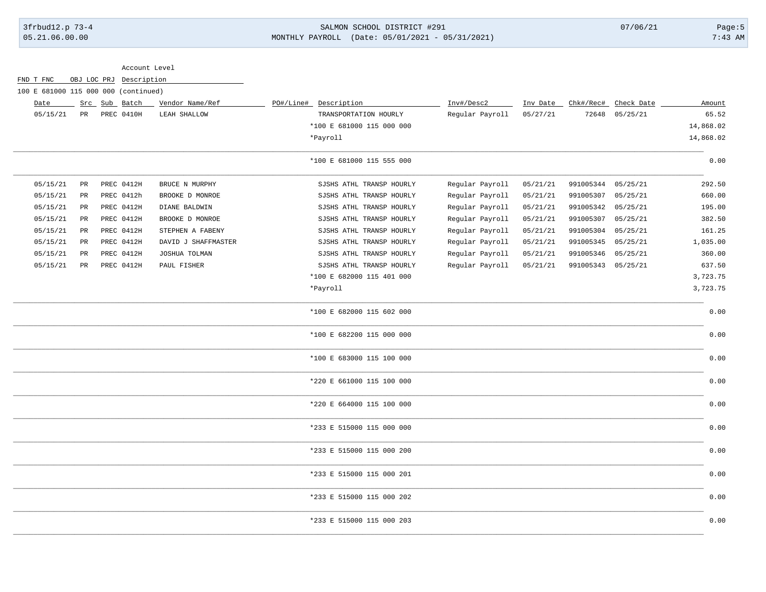### 3frbud12.p 73-4 SALMON SCHOOL DISTRICT #291 07/06/21 Page:5 05.21.06.00.00 MONTHLY PAYROLL (Date: 05/01/2021 - 05/31/2021) 7:43 AM

Account Level

| FND T FNC                            |             |  | OBJ LOC PRJ Description |                     |                           |                 |          |                    |            |           |
|--------------------------------------|-------------|--|-------------------------|---------------------|---------------------------|-----------------|----------|--------------------|------------|-----------|
| 100 E 681000 115 000 000 (continued) |             |  |                         |                     |                           |                 |          |                    |            |           |
| Date                                 |             |  | Src Sub Batch           | Vendor Name/Ref     | PO#/Line# Description     | Inv#/Desc2      | Inv Date | Chk#/Rec#          | Check Date | Amount    |
| 05/15/21                             | PR          |  | PREC 0410H              | LEAH SHALLOW        | TRANSPORTATION HOURLY     | Regular Payroll | 05/27/21 | 72648              | 05/25/21   | 65.52     |
|                                      |             |  |                         |                     | *100 E 681000 115 000 000 |                 |          |                    |            | 14,868.02 |
|                                      |             |  |                         |                     | *Payroll                  |                 |          |                    |            | 14,868.02 |
|                                      |             |  |                         |                     | *100 E 681000 115 555 000 |                 |          |                    |            | 0.00      |
| 05/15/21                             | PR          |  | PREC 0412H              | BRUCE N MURPHY      | SJSHS ATHL TRANSP HOURLY  | Regular Payroll | 05/21/21 | 991005344          | 05/25/21   | 292.50    |
| 05/15/21                             | $_{\rm PR}$ |  | PREC 0412h              | BROOKE D MONROE     | SJSHS ATHL TRANSP HOURLY  | Regular Payroll | 05/21/21 | 991005307          | 05/25/21   | 660.00    |
| 05/15/21                             | PR          |  | PREC 0412H              | DIANE BALDWIN       | SJSHS ATHL TRANSP HOURLY  | Regular Payroll | 05/21/21 | 991005342          | 05/25/21   | 195.00    |
| 05/15/21                             | PR          |  | PREC 0412H              | BROOKE D MONROE     | SJSHS ATHL TRANSP HOURLY  | Regular Payroll | 05/21/21 | 991005307          | 05/25/21   | 382.50    |
| 05/15/21                             | PR          |  | PREC 0412H              | STEPHEN A FABENY    | SJSHS ATHL TRANSP HOURLY  | Regular Payroll | 05/21/21 | 991005304          | 05/25/21   | 161.25    |
| 05/15/21                             | $_{\rm PR}$ |  | PREC 0412H              | DAVID J SHAFFMASTER | SJSHS ATHL TRANSP HOURLY  | Regular Payroll | 05/21/21 | 991005345          | 05/25/21   | 1,035.00  |
| 05/15/21                             | PR          |  | PREC 0412H              | JOSHUA TOLMAN       | SJSHS ATHL TRANSP HOURLY  | Regular Payroll | 05/21/21 | 991005346          | 05/25/21   | 360.00    |
| 05/15/21                             | $_{\rm PR}$ |  | PREC 0412H              | PAUL FISHER         | SJSHS ATHL TRANSP HOURLY  | Regular Payroll | 05/21/21 | 991005343 05/25/21 |            | 637.50    |
|                                      |             |  |                         |                     | *100 E 682000 115 401 000 |                 |          |                    |            | 3,723.75  |
|                                      |             |  |                         |                     | *Payroll                  |                 |          |                    |            | 3,723.75  |
|                                      |             |  |                         |                     | *100 E 682000 115 602 000 |                 |          |                    |            | 0.00      |
|                                      |             |  |                         |                     | *100 E 682200 115 000 000 |                 |          |                    |            | 0.00      |
|                                      |             |  |                         |                     | *100 E 683000 115 100 000 |                 |          |                    |            | 0.00      |
|                                      |             |  |                         |                     | *220 E 661000 115 100 000 |                 |          |                    |            | 0.00      |
|                                      |             |  |                         |                     | *220 E 664000 115 100 000 |                 |          |                    |            | 0.00      |
|                                      |             |  |                         |                     | *233 E 515000 115 000 000 |                 |          |                    |            | 0.00      |
|                                      |             |  |                         |                     | *233 E 515000 115 000 200 |                 |          |                    |            | 0.00      |
|                                      |             |  |                         |                     | *233 E 515000 115 000 201 |                 |          |                    |            | 0.00      |
|                                      |             |  |                         |                     | *233 E 515000 115 000 202 |                 |          |                    |            | 0.00      |
|                                      |             |  |                         |                     | *233 E 515000 115 000 203 |                 |          |                    |            | 0.00      |
|                                      |             |  |                         |                     |                           |                 |          |                    |            |           |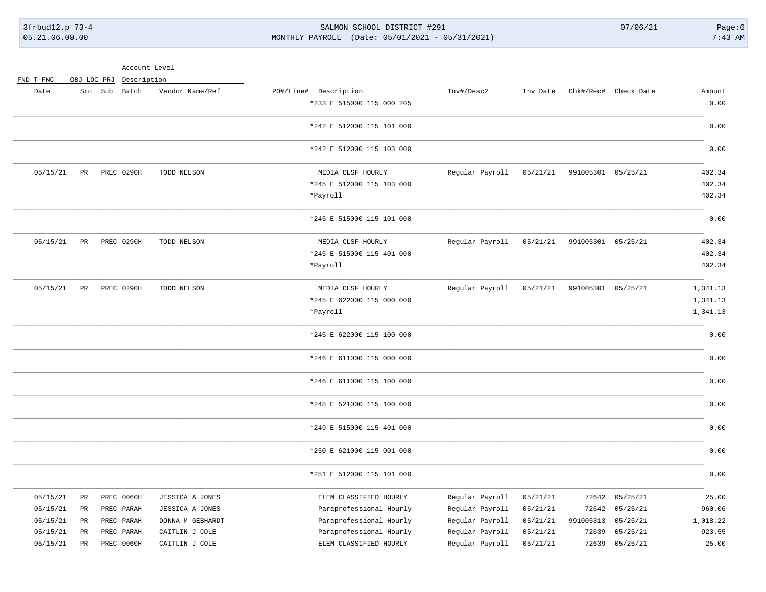3frbud12.p 73-4 SALMON SCHOOL DISTRICT #291 07/06/21 Page:6 05.21.06.00.00 MONTHLY PAYROLL (Date: 05/01/2021 - 05/31/2021) 7:43 AM

Account Level

FND T FNC OBJ LOC PRJ Description

| Date     |             | Src Sub Batch | Vendor Name/Ref  | PO#/Line# Description     | Inv#/Desc2      | Inv Date |                    | Chk#/Rec# Check Date | Amount   |
|----------|-------------|---------------|------------------|---------------------------|-----------------|----------|--------------------|----------------------|----------|
|          |             |               |                  | *233 E 515000 115 000 205 |                 |          |                    |                      | 0.00     |
|          |             |               |                  | *242 E 512000 115 101 000 |                 |          |                    |                      | 0.00     |
|          |             |               |                  | *242 E 512000 115 103 000 |                 |          |                    |                      | 0.00     |
| 05/15/21 | PR          | PREC 0290H    | TODD NELSON      | MEDIA CLSF HOURLY         | Regular Payroll | 05/21/21 | 991005301 05/25/21 |                      | 402.34   |
|          |             |               |                  | *245 E 512000 115 103 000 |                 |          |                    |                      | 402.34   |
|          |             |               |                  | *Payroll                  |                 |          |                    |                      | 402.34   |
|          |             |               |                  | *245 E 515000 115 101 000 |                 |          |                    |                      | 0.00     |
| 05/15/21 | $_{\rm PR}$ | PREC 0290H    | TODD NELSON      | MEDIA CLSF HOURLY         | Regular Payroll | 05/21/21 | 991005301 05/25/21 |                      | 402.34   |
|          |             |               |                  | *245 E 515000 115 401 000 |                 |          |                    |                      | 402.34   |
|          |             |               |                  | *Payroll                  |                 |          |                    |                      | 402.34   |
| 05/15/21 | PR          | PREC 0290H    | TODD NELSON      | MEDIA CLSF HOURLY         | Regular Payroll | 05/21/21 | 991005301 05/25/21 |                      | 1,341.13 |
|          |             |               |                  | *245 E 622000 115 000 000 |                 |          |                    |                      | 1,341.13 |
|          |             |               |                  | *Payroll                  |                 |          |                    |                      | 1,341.13 |
|          |             |               |                  | *245 E 622000 115 100 000 |                 |          |                    |                      | 0.00     |
|          |             |               |                  | *246 E 611000 115 000 000 |                 |          |                    |                      | 0.00     |
|          |             |               |                  | *246 E 611000 115 100 000 |                 |          |                    |                      | 0.00     |
|          |             |               |                  | *248 E 521000 115 100 000 |                 |          |                    |                      | 0.00     |
|          |             |               |                  | *249 E 515000 115 401 000 |                 |          |                    |                      | 0.00     |
|          |             |               |                  | *250 E 621000 115 001 000 |                 |          |                    |                      | 0.00     |
|          |             |               |                  | *251 E 512000 115 101 000 |                 |          |                    |                      | 0.00     |
| 05/15/21 | $_{\rm PR}$ | PREC 0060H    | JESSICA A JONES  | ELEM CLASSIFIED HOURLY    | Regular Payroll | 05/21/21 | 72642              | 05/25/21             | 25.00    |
| 05/15/21 | PR          | PREC PARAH    | JESSICA A JONES  | Paraprofessional Hourly   | Regular Payroll | 05/21/21 | 72642              | 05/25/21             | 960.06   |
| 05/15/21 | $_{\rm PR}$ | PREC PARAH    | DONNA M GEBHARDT | Paraprofessional Hourly   | Regular Payroll | 05/21/21 | 991005313          | 05/25/21             | 1,018.22 |
| 05/15/21 | PR          | PREC PARAH    | CAITLIN J COLE   | Paraprofessional Hourly   | Regular Payroll | 05/21/21 | 72639              | 05/25/21             | 923.55   |
| 05/15/21 | PR          | PREC 0060H    | CAITLIN J COLE   | ELEM CLASSIFIED HOURLY    | Regular Payroll | 05/21/21 | 72639              | 05/25/21             | 25.00    |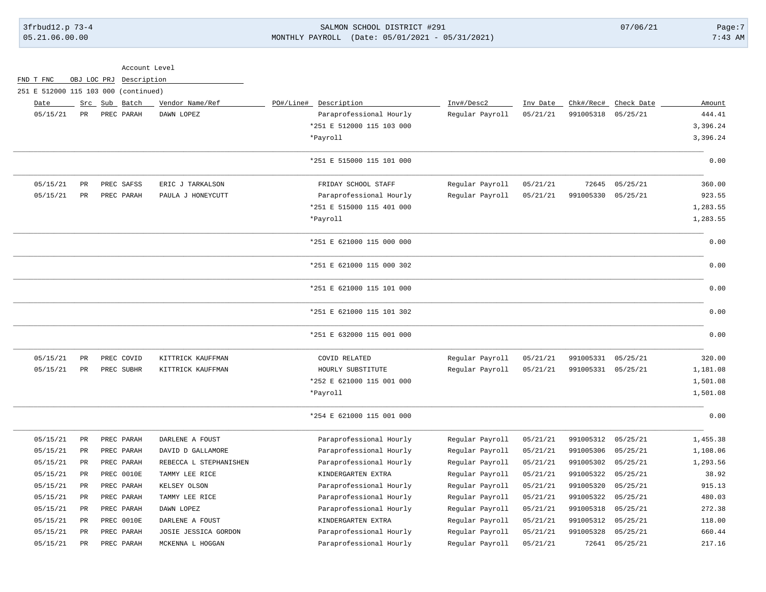# 3frbud12.p 73-4 SALMON SCHOOL DISTRICT #291 07/06/21 Page:7 05.21.06.00.00 MONTHLY PAYROLL (Date: 05/01/2021 - 05/31/2021) 7:43 AM

|           |                 | Account Level                        |                        |                           |                 |          |           |                      |          |
|-----------|-----------------|--------------------------------------|------------------------|---------------------------|-----------------|----------|-----------|----------------------|----------|
| FND T FNC | OBJ LOC PRJ     | Description                          |                        |                           |                 |          |           |                      |          |
|           |                 | 251 E 512000 115 103 000 (continued) |                        |                           |                 |          |           |                      |          |
| Date      |                 | Src Sub Batch                        | Vendor Name/Ref        | PO#/Line#<br>Description  | Inv#/Desc2      | Inv Date |           | Chk#/Rec# Check Date | Amount   |
| 05/15/21  | PR              | PREC PARAH                           | DAWN LOPEZ             | Paraprofessional Hourly   | Regular Payroll | 05/21/21 | 991005318 | 05/25/21             | 444.41   |
|           |                 |                                      |                        | *251 E 512000 115 103 000 |                 |          |           |                      | 3,396.24 |
|           |                 |                                      |                        | *Payroll                  |                 |          |           |                      | 3,396.24 |
|           |                 |                                      |                        | *251 E 515000 115 101 000 |                 |          |           |                      | 0.00     |
| 05/15/21  | $\mbox{\sf PR}$ | PREC SAFSS                           | ERIC J TARKALSON       | FRIDAY SCHOOL STAFF       | Regular Payroll | 05/21/21 | 72645     | 05/25/21             | 360.00   |
| 05/15/21  | PR              | PREC PARAH                           | PAULA J HONEYCUTT      | Paraprofessional Hourly   | Regular Payroll | 05/21/21 | 991005330 | 05/25/21             | 923.55   |
|           |                 |                                      |                        | *251 E 515000 115 401 000 |                 |          |           |                      | 1,283.55 |
|           |                 |                                      |                        | *Payroll                  |                 |          |           |                      | 1,283.55 |
|           |                 |                                      |                        | *251 E 621000 115 000 000 |                 |          |           |                      | 0.00     |
|           |                 |                                      |                        | *251 E 621000 115 000 302 |                 |          |           |                      | 0.00     |
|           |                 |                                      |                        | *251 E 621000 115 101 000 |                 |          |           |                      | 0.00     |
|           |                 |                                      |                        | *251 E 621000 115 101 302 |                 |          |           |                      | 0.00     |
|           |                 |                                      |                        | *251 E 632000 115 001 000 |                 |          |           |                      | 0.00     |
| 05/15/21  | $_{\rm PR}$     | PREC COVID                           | KITTRICK KAUFFMAN      | COVID RELATED             | Regular Payroll | 05/21/21 | 991005331 | 05/25/21             | 320.00   |
| 05/15/21  | $_{\rm PR}$     | PREC SUBHR                           | KITTRICK KAUFFMAN      | HOURLY SUBSTITUTE         | Regular Payroll | 05/21/21 | 991005331 | 05/25/21             | 1,181.08 |
|           |                 |                                      |                        | *252 E 621000 115 001 000 |                 |          |           |                      | 1,501.08 |
|           |                 |                                      |                        | *Payroll                  |                 |          |           |                      | 1,501.08 |
|           |                 |                                      |                        | *254 E 621000 115 001 000 |                 |          |           |                      | 0.00     |
| 05/15/21  | <b>PR</b>       | PREC PARAH                           | DARLENE A FOUST        | Paraprofessional Hourly   | Regular Payroll | 05/21/21 | 991005312 | 05/25/21             | 1,455.38 |
| 05/15/21  | <b>PR</b>       | PREC PARAH                           | DAVID D GALLAMORE      | Paraprofessional Hourly   | Regular Payroll | 05/21/21 | 991005306 | 05/25/21             | 1,108.06 |
| 05/15/21  | PR              | PREC PARAH                           | REBECCA L STEPHANISHEN | Paraprofessional Hourly   | Regular Payroll | 05/21/21 | 991005302 | 05/25/21             | 1,293.56 |
| 05/15/21  | <b>PR</b>       | PREC 0010E                           | TAMMY LEE RICE         | KINDERGARTEN EXTRA        | Regular Payroll | 05/21/21 | 991005322 | 05/25/21             | 38.92    |
| 05/15/21  | <b>PR</b>       | PREC PARAH                           | KELSEY OLSON           | Paraprofessional Hourly   | Regular Payroll | 05/21/21 | 991005320 | 05/25/21             | 915.13   |
| 05/15/21  | PR              | PREC PARAH                           | TAMMY LEE RICE         | Paraprofessional Hourly   | Regular Payroll | 05/21/21 | 991005322 | 05/25/21             | 480.03   |
| 05/15/21  | $_{\rm PR}$     | PREC PARAH                           | DAWN LOPEZ             | Paraprofessional Hourly   | Regular Payroll | 05/21/21 | 991005318 | 05/25/21             | 272.38   |
| 05/15/21  | PR              | PREC 0010E                           | DARLENE A FOUST        | KINDERGARTEN EXTRA        | Regular Payroll | 05/21/21 | 991005312 | 05/25/21             | 118.00   |
| 05/15/21  | PR              | PREC PARAH                           | JOSIE JESSICA GORDON   | Paraprofessional Hourly   | Regular Payroll | 05/21/21 | 991005328 | 05/25/21             | 660.44   |
| 05/15/21  | $_{\rm PR}$     | PREC PARAH                           | MCKENNA L HOGGAN       | Paraprofessional Hourly   | Regular Payroll | 05/21/21 | 72641     | 05/25/21             | 217.16   |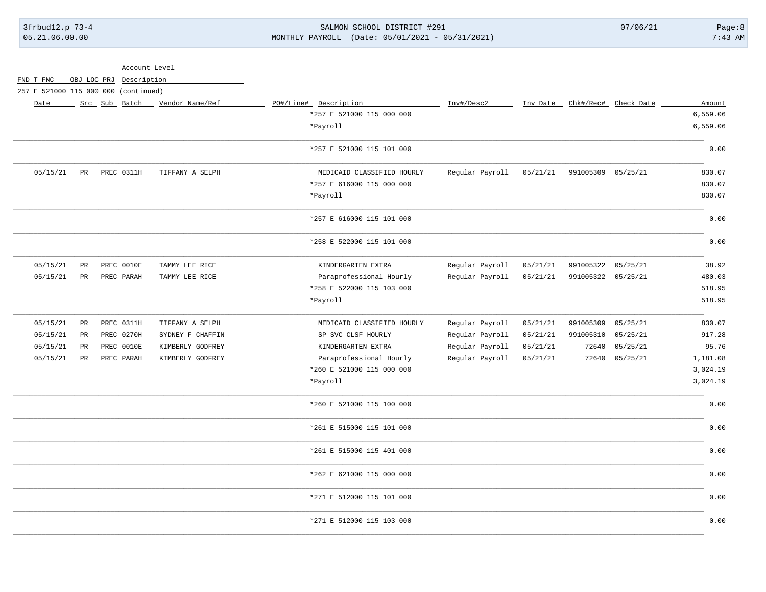# 3frbud12.p 73-4 SALMON SCHOOL DISTRICT #291 07/06/21 Page:8 05.21.06.00.00 MONTHLY PAYROLL (Date: 05/01/2021 - 05/31/2021) 7:43 AM

| Chk#/Rec# Check Date<br>Amount |
|--------------------------------|
| 6,559.06                       |
| 6,559.06                       |
|                                |
| 0.00                           |
| 830.07                         |
| 830.07                         |
| 830.07                         |
| 0.00                           |
| 0.00                           |
| 38.92                          |
| 480.03                         |
| 518.95                         |
| 518.95                         |
| 830.07                         |
| 917.28                         |
| 95.76                          |
| 1,181.08                       |
| 3,024.19                       |
| 3,024.19                       |
| 0.00                           |
| 0.00                           |
| 0.00                           |
| 0.00                           |
| 0.00                           |
| 0.00                           |
|                                |